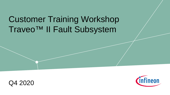# Customer Training Workshop Traveo™ II Fault Subsystem



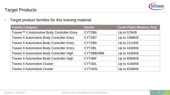

#### Target Products

 $\rightarrow$  Target product families for this training material

| <b>Family Category</b>                                  | <b>Series</b> | <b>Code Flash Memory Size</b> |
|---------------------------------------------------------|---------------|-------------------------------|
| Traveo <sup>™</sup> Il Automotive Body Controller Entry | CYT2B6        | Up to 576KB                   |
| <b>Traveo II Automotive Body Controller Entry</b>       | CYT2B7        | Up to 1088KB                  |
| <b>Traveo II Automotive Body Controller Entry</b>       | CYT2B9        | Up to 2112KB                  |
| <b>Traveo II Automotive Body Controller Entry</b>       | CYT2BL        | Up to 4160KB                  |
| <b>Traveo II Automotive Body Controller High</b>        | CYT3BB/4BB    | Up to 4160KB                  |
| <b>Traveo II Automotive Body Controller High</b>        | CYT4BF        | Up to 8384KB                  |
| <b>Traveo II Automotive Cluster</b>                     | CYT3DL        | Up to 4160KB                  |
| <b>Traveo II Automotive Cluster</b>                     | CYT4DN        | Up to 6336KB                  |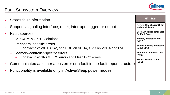

#### Fault Subsystem Overview

- Stores fault information
- Supports signaling interface; reset, interrupt, trigger, or output
- **Fault sources:** 
	- MPU/SMPU/PPU violations
	- Peripheral-specific errors
		- For example: WDT, CSV, and BOD on VDDA, OVD on VDDA and LVD
	- Memory-controller-specific errors
		- For example: SRAM ECC errors and Flash ECC errors
- Communicated as either a bus error or a fault in the fault report structure
- Functionality is available only in Active/Sleep power modes

| <b>Review TRM chapter 15 for</b><br>additional details |
|--------------------------------------------------------|
| See each device datasheet<br>for Fault Sources         |
| <b>Memory protection unit</b><br>(MPU)                 |
| <b>Shared memory protection</b><br>unit (SMPU)         |
| <b>Peripheral protection unit</b><br>(PPU)             |
| <b>Error-correction code</b><br>(ECC)                  |
|                                                        |
|                                                        |
|                                                        |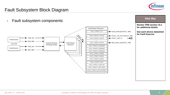

#### Fault Subsystem Block Diagram

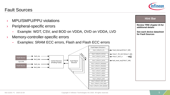#### Fault Sources

- MPU/SMPU/PPU violations
- › Peripheral-specific errors
	- Example: WDT, CSV, and BOD on VDDA, OVD on VDDA, LVD
- › Memory-controller-specific errors
	- Examples: SRAM ECC errors, Flash and Flash ECC errors



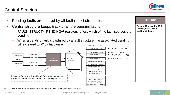#### <sup>1</sup> FAULT\_STRUCTx, 'x' signifies the fault structure instance and 'y' in FAULT\_STRUCTx\_PENDINGy varies from 0 through 2

### Central Structure

Pending faults are shared by all fault report structures

- Central structure keeps track of all the pending faults
	- FAULT\_STRUCTx\_PENDINGy<sup>1</sup> registers reflect which of the fault sources are pending
	- When a pending fault is captured by a fault structure, the associated pending bit is cleared to '0' by hardware Fault Report Structure i





**Review TRM section 15.1 and Register TRM for additional details**

**Hint Bar**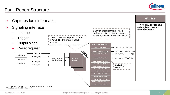#### Fault Report Structure





<sup>2</sup> Fault, Software, MCWDT, Debug, CSV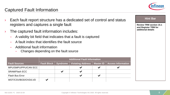

#### Captured Fault Information

Each fault report structure has a dedicated set of control and status registers and captures a single fault  $\rightarrow$  The captured fault information includes: – A validity bit field that indicates that a fault is captured – A fault index that identifies the fault source – Additional fault information – Changes depending on the fault source **Fault Sources Additional Fault Information Fault Block Syndrome Violating Address Master ID Access Information** MPU/SMPU/PPU/CAN ECC  $\overline{\phantom{a}}$   $\overline{\phantom{a}}$   $\overline{\phantom{a}}$   $\overline{\phantom{a}}$   $\overline{\phantom{a}}$ SRAM/Flash ECC  $\overline{\smile}$   $\overline{\smile}$   $\overline{\smile}$   $\overline{\smile}$ Flash Bus Error  $\overline{\phantom{a}}$   $\overline{\phantom{a}}$   $\overline{\phantom{a}}$   $\overline{\phantom{a}}$   $\overline{\phantom{a}}$   $\overline{\phantom{a}}$   $\overline{\phantom{a}}$   $\overline{\phantom{a}}$   $\overline{\phantom{a}}$   $\overline{\phantom{a}}$   $\overline{\phantom{a}}$   $\overline{\phantom{a}}$   $\overline{\phantom{a}}$   $\overline{\phantom{a}}$   $\overline{\phantom{a}}$   $\overline{\phantom{a}}$   $\overline{\phantom{a}}$  WDT/CSV/BOD/OVD/LVD **V Review TRM section 15.1 and Register TRM for additional details Hint Bar**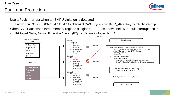Use Case:

#### Fault and Protection



- Use a Fault Interrupt when an SMPU violation is detected
	- Enable Fault Source 0 (CM0+ MPU/SMPU violation) of MASK register and INTR\_MASK to generate the interrupt
- $\rightarrow$  When CM0+ accesses three memory regions (Region 0, 1, 2), as shown below, a fault interrupt occurs
	- Privileged, Write, Secure, Protection Context (PC) = 4, Access to Region 0, 1, 2

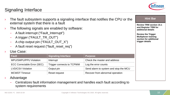

### Signaling Interface

| The fault subsystem supports a signaling interface that notifies the CPU or the<br>external system that there is a fault                                                                                |                                                                                                                                                                                       |                                       | <b>Hint Bar</b> |
|---------------------------------------------------------------------------------------------------------------------------------------------------------------------------------------------------------|---------------------------------------------------------------------------------------------------------------------------------------------------------------------------------------|---------------------------------------|-----------------|
| The following signals are enabled by software:<br>A fault interrupt ("Fault_Interrupt")<br>A trigger ("FAULT_TR_OUT")<br>A chip output pin ("FAULT_OUT_X")<br>A fault reset request ("fault_reset_req") | <b>Review TRM section 15.1</b><br>and Register TRM for<br>additional details<br><b>Review the Trigger</b><br><b>Multiplexer training</b><br>section for additional<br>trigger details |                                       |                 |
| Use Case:                                                                                                                                                                                               |                                                                                                                                                                                       |                                       |                 |
| <b>Fault</b>                                                                                                                                                                                            | <b>Signaling Interface</b>                                                                                                                                                            | <b>Purpose</b>                        |                 |
| MPU/SMPU/PPU Violation                                                                                                                                                                                  | Interrupt                                                                                                                                                                             | Check the master and address          |                 |
| ECC Correctable Error (SEC)                                                                                                                                                                             | Trigger connects to TCPWM                                                                                                                                                             | Log the error counts                  |                 |
| <b>LVD/CSV Violation</b>                                                                                                                                                                                | Output pin                                                                                                                                                                            | Send alarm to system and stop the MCU |                 |
| <b>MCWDT Timeout</b>                                                                                                                                                                                    | Reset request                                                                                                                                                                         | Recover from abnormal operation       |                 |
| Advantage                                                                                                                                                                                               |                                                                                                                                                                                       |                                       |                 |

– Centralizes fault information management and handles each fault according to system requirements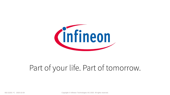

## Part of your life. Part of tomorrow.

002-22201 \*C 2020-10-29 Copyright © Infineon Technologies AG 2020. All rights reserved.